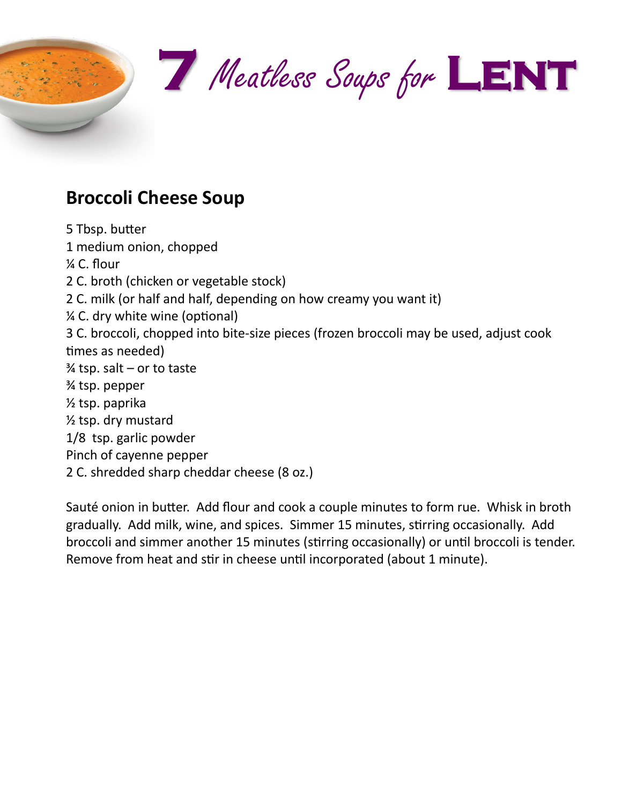

## **Broccoli Cheese Soup**

5 Tbsp. butter 1 medium onion, chopped ¼ C. flour 2 C. broth (chicken or vegetable stock) 2 C. milk (or half and half, depending on how creamy you want it) ¼ C. dry white wine (optional) 3 C. broccoli, chopped into bite-size pieces (frozen broccoli may be used, adjust cook times as needed)  $\frac{3}{4}$  tsp. salt – or to taste ¾ tsp. pepper ½ tsp. paprika ½ tsp. dry mustard 1/8 tsp. garlic powder Pinch of cayenne pepper 2 C. shredded sharp cheddar cheese (8 oz.)

Sauté onion in butter. Add flour and cook a couple minutes to form rue. Whisk in broth gradually. Add milk, wine, and spices. Simmer 15 minutes, stirring occasionally. Add broccoli and simmer another 15 minutes (stirring occasionally) or until broccoli is tender. Remove from heat and stir in cheese until incorporated (about 1 minute).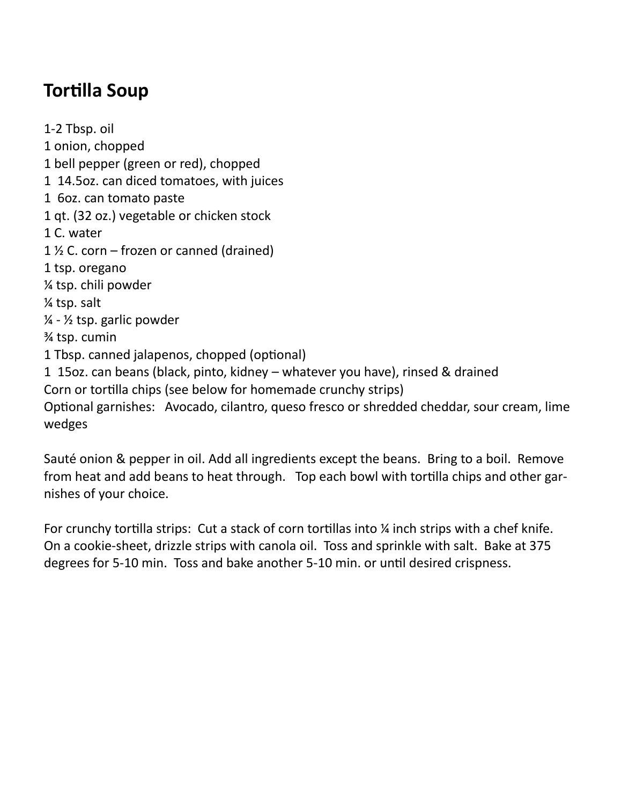## **Tortilla Soup**

1-2 Tbsp. oil 1 onion, chopped 1 bell pepper (green or red), chopped 1 14.5oz. can diced tomatoes, with juices 1 6oz. can tomato paste 1 qt. (32 oz.) vegetable or chicken stock 1 C. water 1  $\frac{1}{2}$  C. corn – frozen or canned (drained) 1 tsp. oregano ¼ tsp. chili powder ¼ tsp. salt  $\frac{1}{4}$  -  $\frac{1}{2}$  tsp. garlic powder ¾ tsp. cumin 1 Tbsp. canned jalapenos, chopped (optional) 1 15oz. can beans (black, pinto, kidney – whatever you have), rinsed & drained Corn or tortilla chips (see below for homemade crunchy strips) Optional garnishes: Avocado, cilantro, queso fresco or shredded cheddar, sour cream, lime wedges

Sauté onion & pepper in oil. Add all ingredients except the beans. Bring to a boil. Remove from heat and add beans to heat through. Top each bowl with tortilla chips and other garnishes of your choice.

For crunchy tortilla strips: Cut a stack of corn tortillas into  $\frac{1}{4}$  inch strips with a chef knife. On a cookie-sheet, drizzle strips with canola oil. Toss and sprinkle with salt. Bake at 375 degrees for 5-10 min. Toss and bake another 5-10 min. or until desired crispness.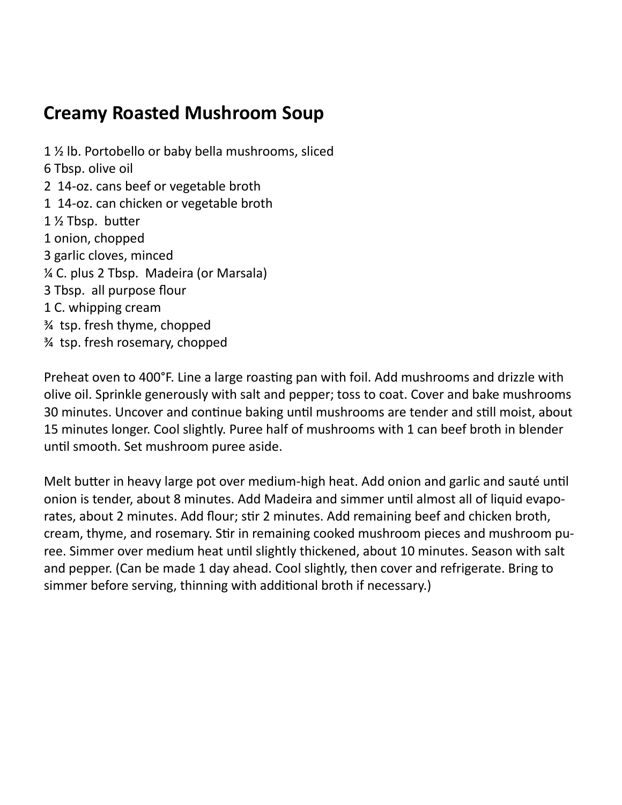#### **Creamy Roasted Mushroom Soup**

1 ½ lb. Portobello or baby bella mushrooms, sliced 6 Tbsp. olive oil 2 14-oz. cans beef or vegetable broth 1 14-oz. can chicken or vegetable broth 1 ½ Tbsp. butter 1 onion, chopped 3 garlic cloves, minced ¼ C. plus 2 Tbsp. Madeira (or Marsala) 3 Tbsp. all purpose flour 1 C. whipping cream ¾ tsp. fresh thyme, chopped ¾ tsp. fresh rosemary, chopped

Preheat oven to 400°F. Line a large roasting pan with foil. Add mushrooms and drizzle with olive oil. Sprinkle generously with salt and pepper; toss to coat. Cover and bake mushrooms 30 minutes. Uncover and continue baking until mushrooms are tender and still moist, about 15 minutes longer. Cool slightly. Puree half of mushrooms with 1 can beef broth in blender until smooth. Set mushroom puree aside.

Melt butter in heavy large pot over medium-high heat. Add onion and garlic and sauté until onion is tender, about 8 minutes. Add Madeira and simmer until almost all of liquid evaporates, about 2 minutes. Add flour; stir 2 minutes. Add remaining beef and chicken broth, cream, thyme, and rosemary. Stir in remaining cooked mushroom pieces and mushroom puree. Simmer over medium heat until slightly thickened, about 10 minutes. Season with salt and pepper. (Can be made 1 day ahead. Cool slightly, then cover and refrigerate. Bring to simmer before serving, thinning with additional broth if necessary.)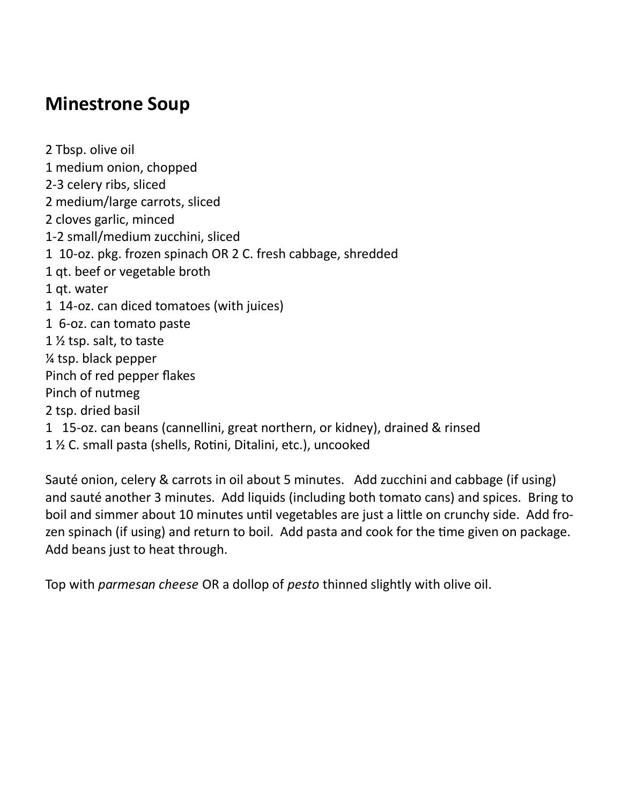#### **Minestrone Soup**

2 Tbsp. olive oil 1 medium onion, chopped 2-3 celery ribs, sliced 2 medium/large carrots, sliced 2 cloves garlic, minced 1-2 small/medium zucchini, sliced 1 10-oz. pkg. frozen spinach OR 2 C. fresh cabbage, shredded 1 qt. beef or vegetable broth 1 qt. water 1 14-oz. can diced tomatoes (with juices) 1 6-oz. can tomato paste 1 ½ tsp. salt, to taste ¼ tsp. black pepper Pinch of red pepper flakes Pinch of nutmeg 2 tsp. dried basil 1 15-oz. can beans (cannellini, great northern, or kidney), drained & rinsed 1 ½ C. small pasta (shells, Rotini, Ditalini, etc.), uncooked

Sauté onion, celery & carrots in oil about 5 minutes. Add zucchini and cabbage (if using) and sauté another 3 minutes. Add liquids (including both tomato cans) and spices. Bring to boil and simmer about 10 minutes until vegetables are just a little on crunchy side. Add frozen spinach (if using) and return to boil. Add pasta and cook for the time given on package. Add beans just to heat through.

Top with *parmesan cheese* OR a dollop of *pesto* thinned slightly with olive oil.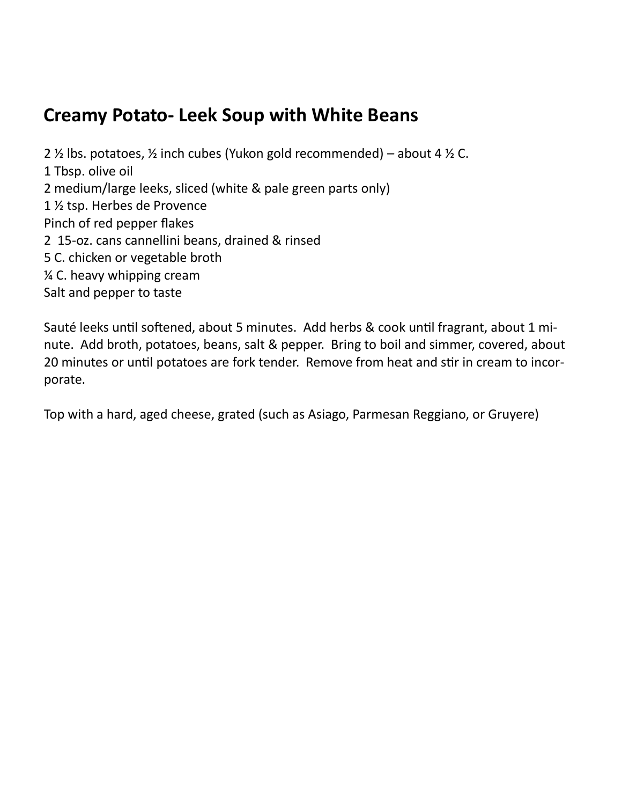#### **Creamy Potato- Leek Soup with White Beans**

2  $\frac{1}{2}$  lbs. potatoes,  $\frac{1}{2}$  inch cubes (Yukon gold recommended) – about 4  $\frac{1}{2}$  C. 1 Tbsp. olive oil 2 medium/large leeks, sliced (white & pale green parts only) 1 ½ tsp. Herbes de Provence Pinch of red pepper flakes 2 15-oz. cans cannellini beans, drained & rinsed 5 C. chicken or vegetable broth ¼ C. heavy whipping cream Salt and pepper to taste

Sauté leeks until softened, about 5 minutes. Add herbs & cook until fragrant, about 1 minute. Add broth, potatoes, beans, salt & pepper. Bring to boil and simmer, covered, about 20 minutes or until potatoes are fork tender. Remove from heat and stir in cream to incorporate.

Top with a hard, aged cheese, grated (such as Asiago, Parmesan Reggiano, or Gruyere)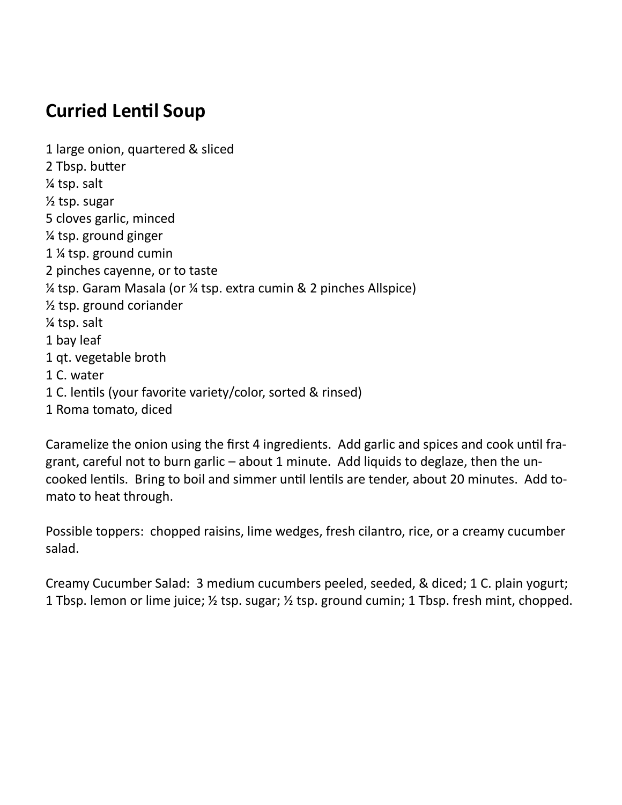## **Curried Lentil Soup**

1 large onion, quartered & sliced 2 Tbsp. butter ¼ tsp. salt ½ tsp. sugar 5 cloves garlic, minced ¼ tsp. ground ginger 1 ¼ tsp. ground cumin 2 pinches cayenne, or to taste ¼ tsp. Garam Masala (or ¼ tsp. extra cumin & 2 pinches Allspice) ½ tsp. ground coriander ¼ tsp. salt 1 bay leaf 1 qt. vegetable broth 1 C. water 1 C. lentils (your favorite variety/color, sorted & rinsed) 1 Roma tomato, diced

Caramelize the onion using the first 4 ingredients. Add garlic and spices and cook until fragrant, careful not to burn garlic – about 1 minute. Add liquids to deglaze, then the uncooked lentils. Bring to boil and simmer until lentils are tender, about 20 minutes. Add tomato to heat through.

Possible toppers: chopped raisins, lime wedges, fresh cilantro, rice, or a creamy cucumber salad.

Creamy Cucumber Salad: 3 medium cucumbers peeled, seeded, & diced; 1 C. plain yogurt; 1 Tbsp. lemon or lime juice; ½ tsp. sugar; ½ tsp. ground cumin; 1 Tbsp. fresh mint, chopped.